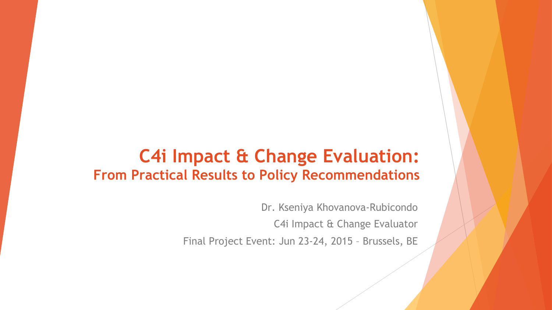### **C4i Impact & Change Evaluation: From Practical Results to Policy Recommendations**

Dr. Kseniya Khovanova-Rubicondo C4i Impact & Change Evaluator

Final Project Event: Jun 23-24, 2015 – Brussels, BE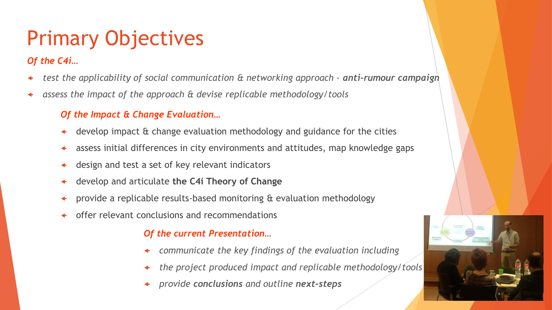# Primary Objectives

#### *Of the C4i…*

- *test the applicability of social communication & networking approach - anti-rumour campaign*
- *assess the impact of the approach & devise replicable methodology/tools*

#### *Of the Impact & Change Evaluation…*

- develop impact & change evaluation methodology and guidance for the cities
- assess initial differences in city environments and attitudes, map knowledge gaps
- design and test a set of key relevant indicators
- develop and articulate **the C4i Theory of Change**
- provide a replicable results-based monitoring & evaluation methodology
- offer relevant conclusions and recommendations

#### *Of the current Presentation…*

- *communicate the key findings of the evaluation including*
- *the project produced impact and replicable methodology/tools*
- *provide conclusions and outline next-steps*

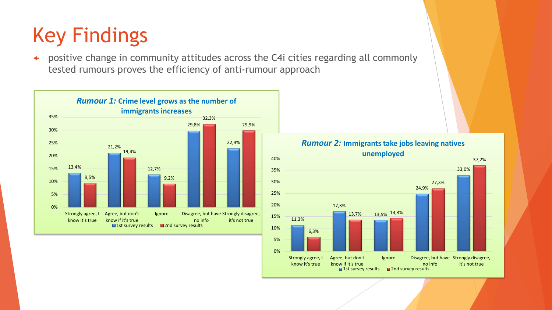# Key Findings

 positive change in community attitudes across the C4i cities regarding all commonly tested rumours proves the efficiency of anti-rumour approach



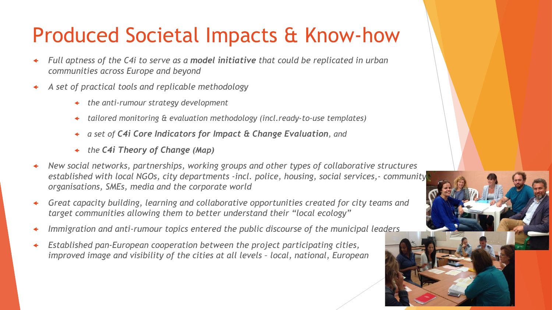# Produced Societal Impacts & Know-how

- *Full aptness of the C4i to serve as a model initiative that could be replicated in urban communities across Europe and beyond*
- *A set of practical tools and replicable methodology*
	- *the anti-rumour strategy development*
	- *tailored monitoring & evaluation methodology (incl.ready-to-use templates)*
	- *a set of C4i Core Indicators for Impact & Change Evaluation, and*
	- *the C4i Theory of Change (Map)*
- *New social networks, partnerships, working groups and other types of collaborative structures established with local NGOs, city departments -incl. police, housing, social services,- community organisations, SMEs, media and the corporate world*
- *Great capacity building, learning and collaborative opportunities created for city teams and target communities allowing them to better understand their "local ecology"*
- *Immigration and anti-rumour topics entered the public discourse of the municipal leaders*
- *Established pan-European cooperation between the project participating cities, improved image and visibility of the cities at all levels – local, national, European*

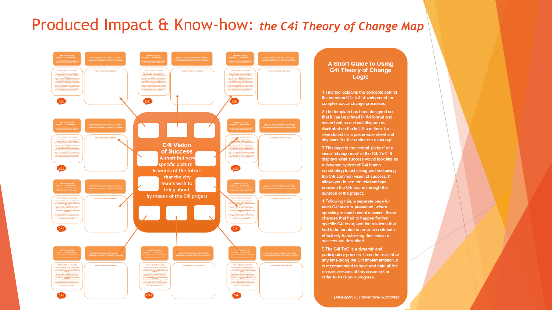#### Produced Impact & Know-how: *the C4i Theory of Change Map*



#### **A Short Guide to Using C4i Theory of Change** Logic

1 This tool explains the concepts behind the common C4i ToC development for complex social change processes.

2 The template has been designed so that it can be printed in A4 format and assembled as a visual diagram as illustrated on the left. It can then be reproduced on a poster-size sheet and displayed for the audience or manager.

3 This page is the central 'picture' or a visual 'change map' of the C4i ToC. It displays what success would look like as a dynamic system of C4i teams contributing to achieving and sustaining the C4i common vision of success. It allows you to see the relationships between the C4i teams through the duration of the project.

4 Following this, a separate page for each C4i team is presented, where specific preconditions of success, those changes that had to happen for that specific C4i team, and the relations that had to be created in order to contribute effectively to achieving their vision of success are described.

5 The C4i ToC is a dynamic and participatory process. It can be revised at any time along the C4i implementation. It is recommended to save and date all the revised versions of this document in order to track your progress.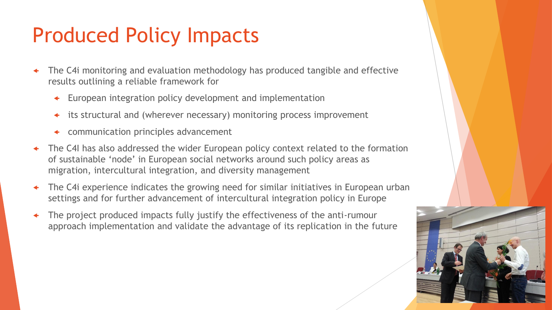# Produced Policy Impacts

- The C4i monitoring and evaluation methodology has produced tangible and effective results outlining a reliable framework for
	- European integration policy development and implementation
	- its structural and (wherever necessary) monitoring process improvement
	- communication principles advancement
- The C4I has also addressed the wider European policy context related to the formation of sustainable 'node' in European social networks around such policy areas as migration, intercultural integration, and diversity management
- The C4i experience indicates the growing need for similar initiatives in European urban settings and for further advancement of intercultural integration policy in Europe
- The project produced impacts fully justify the effectiveness of the anti-rumour approach implementation and validate the advantage of its replication in the future

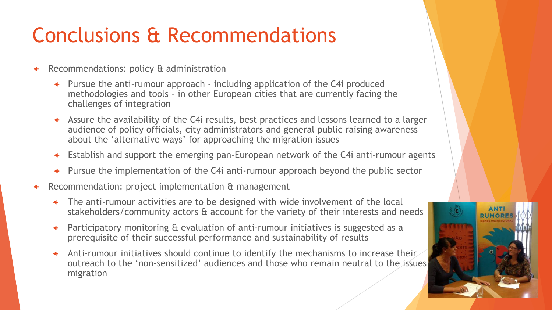# Conclusions & Recommendations

- Recommendations: policy & administration
	- Pursue the anti-rumour approach including application of the C4i produced methodologies and tools – in other European cities that are currently facing the challenges of integration
	- Assure the availability of the C4i results, best practices and lessons learned to a larger audience of policy officials, city administrators and general public raising awareness about the 'alternative ways' for approaching the migration issues
	- Establish and support the emerging pan-European network of the C4i anti-rumour agents
	- Pursue the implementation of the C4i anti-rumour approach beyond the public sector
- Recommendation: project implementation & management
	- The anti-rumour activities are to be designed with wide involvement of the local stakeholders/community actors & account for the variety of their interests and needs
	- Participatory monitoring & evaluation of anti-rumour initiatives is suggested as a prerequisite of their successful performance and sustainability of results
	- $\triangleleft$  Anti-rumour initiatives should continue to identify the mechanisms to increase their outreach to the 'non-sensitized' audiences and those who remain neutral to the issues migration